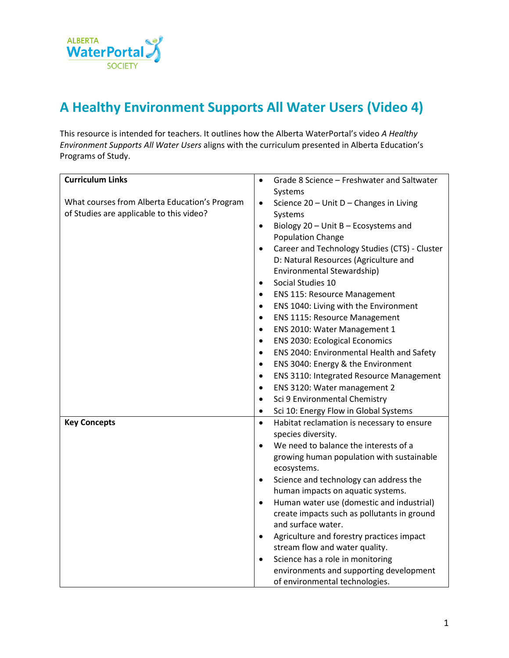

## **A Healthy Environment Supports All Water Users (Video 4)**

This resource is intended for teachers. It outlines how the Alberta WaterPortal's video *A Healthy Environment Supports All Water Users* aligns with the curriculum presented in Alberta Education's Programs of Study.

| <b>Curriculum Links</b>                       | Grade 8 Science - Freshwater and Saltwater<br>$\bullet$    |
|-----------------------------------------------|------------------------------------------------------------|
|                                               | Systems                                                    |
| What courses from Alberta Education's Program | Science 20 - Unit D - Changes in Living<br>$\bullet$       |
| of Studies are applicable to this video?      | Systems                                                    |
|                                               | Biology 20 - Unit B - Ecosystems and<br>$\bullet$          |
|                                               | <b>Population Change</b>                                   |
|                                               | Career and Technology Studies (CTS) - Cluster<br>$\bullet$ |
|                                               | D: Natural Resources (Agriculture and                      |
|                                               | Environmental Stewardship)                                 |
|                                               | Social Studies 10<br>$\bullet$                             |
|                                               | <b>ENS 115: Resource Management</b><br>٠                   |
|                                               | ENS 1040: Living with the Environment<br>$\bullet$         |
|                                               | <b>ENS 1115: Resource Management</b><br>$\bullet$          |
|                                               | ENS 2010: Water Management 1<br>$\bullet$                  |
|                                               | <b>ENS 2030: Ecological Economics</b><br>$\bullet$         |
|                                               | ENS 2040: Environmental Health and Safety<br>$\bullet$     |
|                                               | ENS 3040: Energy & the Environment<br>٠                    |
|                                               | ENS 3110: Integrated Resource Management<br>$\bullet$      |
|                                               | ENS 3120: Water management 2<br>$\bullet$                  |
|                                               | Sci 9 Environmental Chemistry<br>$\bullet$                 |
|                                               | Sci 10: Energy Flow in Global Systems<br>$\bullet$         |
| <b>Key Concepts</b>                           | Habitat reclamation is necessary to ensure<br>$\bullet$    |
|                                               | species diversity.                                         |
|                                               | We need to balance the interests of a<br>$\bullet$         |
|                                               | growing human population with sustainable                  |
|                                               | ecosystems.                                                |
|                                               | Science and technology can address the<br>$\bullet$        |
|                                               | human impacts on aquatic systems.                          |
|                                               | Human water use (domestic and industrial)<br>$\bullet$     |
|                                               | create impacts such as pollutants in ground                |
|                                               | and surface water.                                         |
|                                               | Agriculture and forestry practices impact<br>$\bullet$     |
|                                               | stream flow and water quality.                             |
|                                               | Science has a role in monitoring<br>$\bullet$              |
|                                               | environments and supporting development                    |
|                                               | of environmental technologies.                             |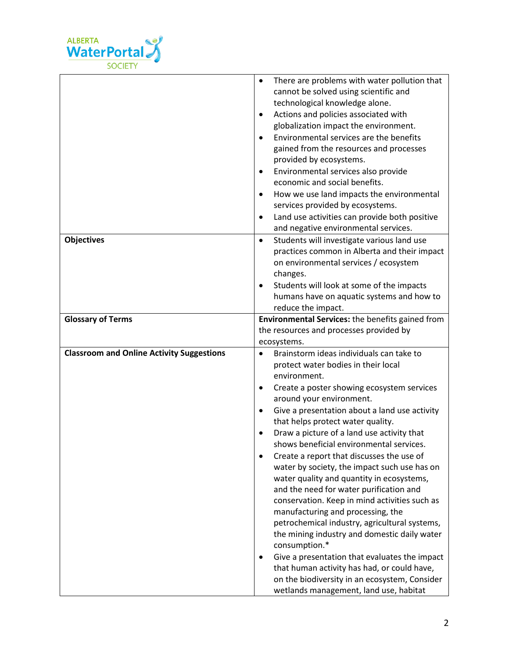

|                                                  | There are problems with water pollution that<br>$\bullet$     |
|--------------------------------------------------|---------------------------------------------------------------|
|                                                  | cannot be solved using scientific and                         |
|                                                  | technological knowledge alone.                                |
|                                                  | Actions and policies associated with<br>$\bullet$             |
|                                                  | globalization impact the environment.                         |
|                                                  | Environmental services are the benefits                       |
|                                                  | gained from the resources and processes                       |
|                                                  | provided by ecosystems.                                       |
|                                                  | Environmental services also provide<br>$\bullet$              |
|                                                  | economic and social benefits.                                 |
|                                                  | How we use land impacts the environmental<br>$\bullet$        |
|                                                  | services provided by ecosystems.                              |
|                                                  | Land use activities can provide both positive<br>$\bullet$    |
|                                                  | and negative environmental services.                          |
| <b>Objectives</b>                                | Students will investigate various land use<br>$\bullet$       |
|                                                  | practices common in Alberta and their impact                  |
|                                                  | on environmental services / ecosystem                         |
|                                                  | changes.                                                      |
|                                                  | Students will look at some of the impacts<br>$\bullet$        |
|                                                  | humans have on aquatic systems and how to                     |
|                                                  | reduce the impact.                                            |
| <b>Glossary of Terms</b>                         | Environmental Services: the benefits gained from              |
|                                                  |                                                               |
|                                                  | the resources and processes provided by                       |
|                                                  | ecosystems.                                                   |
| <b>Classroom and Online Activity Suggestions</b> | Brainstorm ideas individuals can take to<br>$\bullet$         |
|                                                  | protect water bodies in their local                           |
|                                                  | environment.                                                  |
|                                                  | Create a poster showing ecosystem services<br>٠               |
|                                                  | around your environment.                                      |
|                                                  | Give a presentation about a land use activity<br>$\bullet$    |
|                                                  | that helps protect water quality.                             |
|                                                  | Draw a picture of a land use activity that                    |
|                                                  | shows beneficial environmental services.                      |
|                                                  | Create a report that discusses the use of<br>$\bullet$        |
|                                                  | water by society, the impact such use has on                  |
|                                                  | water quality and quantity in ecosystems,                     |
|                                                  | and the need for water purification and                       |
|                                                  | conservation. Keep in mind activities such as                 |
|                                                  | manufacturing and processing, the                             |
|                                                  | petrochemical industry, agricultural systems,                 |
|                                                  | the mining industry and domestic daily water<br>consumption.* |
|                                                  | Give a presentation that evaluates the impact                 |
|                                                  | that human activity has had, or could have,                   |
|                                                  | on the biodiversity in an ecosystem, Consider                 |